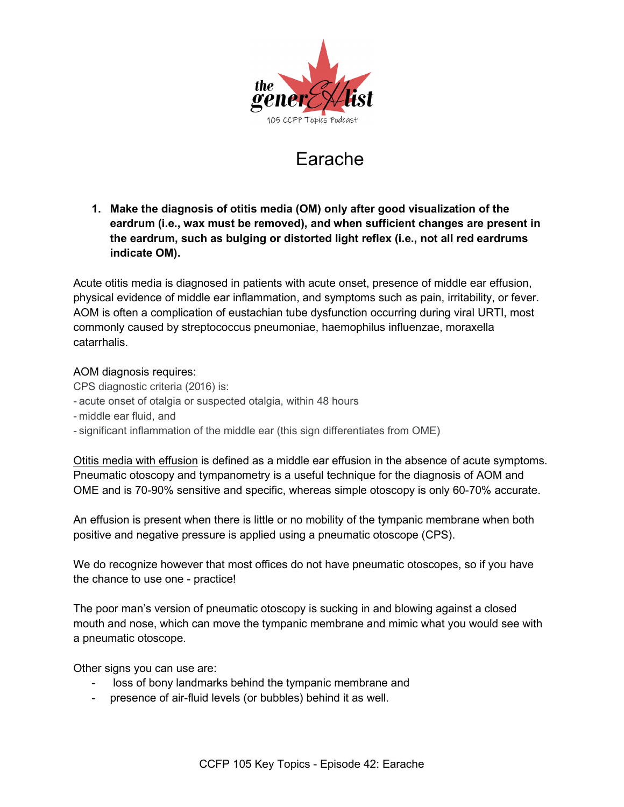

# Earache

**1. Make the diagnosis of otitis media (OM) only after good visualization of the eardrum (i.e., wax must be removed), and when sufficient changes are present in the eardrum, such as bulging or distorted light reflex (i.e., not all red eardrums indicate OM).**

Acute otitis media is diagnosed in patients with acute onset, presence of middle ear effusion, physical evidence of middle ear inflammation, and symptoms such as pain, irritability, or fever. AOM is often a complication of eustachian tube dysfunction occurring during viral URTI, most commonly caused by streptococcus pneumoniae, haemophilus influenzae, moraxella catarrhalis.

## AOM diagnosis requires:

CPS diagnostic criteria (2016) is:

- acute onset of otalgia or suspected otalgia, within 48 hours
- middle ear fluid, and
- significant inflammation of the middle ear (this sign differentiates from OME)

Otitis media with effusion is defined as a middle ear effusion in the absence of acute symptoms. Pneumatic otoscopy and tympanometry is a useful technique for the diagnosis of AOM and OME and is 70-90% sensitive and specific, whereas simple otoscopy is only 60-70% accurate.

An effusion is present when there is little or no mobility of the tympanic membrane when both positive and negative pressure is applied using a pneumatic otoscope (CPS).

We do recognize however that most offices do not have pneumatic otoscopes, so if you have the chance to use one - practice!

The poor man's version of pneumatic otoscopy is sucking in and blowing against a closed mouth and nose, which can move the tympanic membrane and mimic what you would see with a pneumatic otoscope.

Other signs you can use are:

- loss of bony landmarks behind the tympanic membrane and
- presence of air-fluid levels (or bubbles) behind it as well.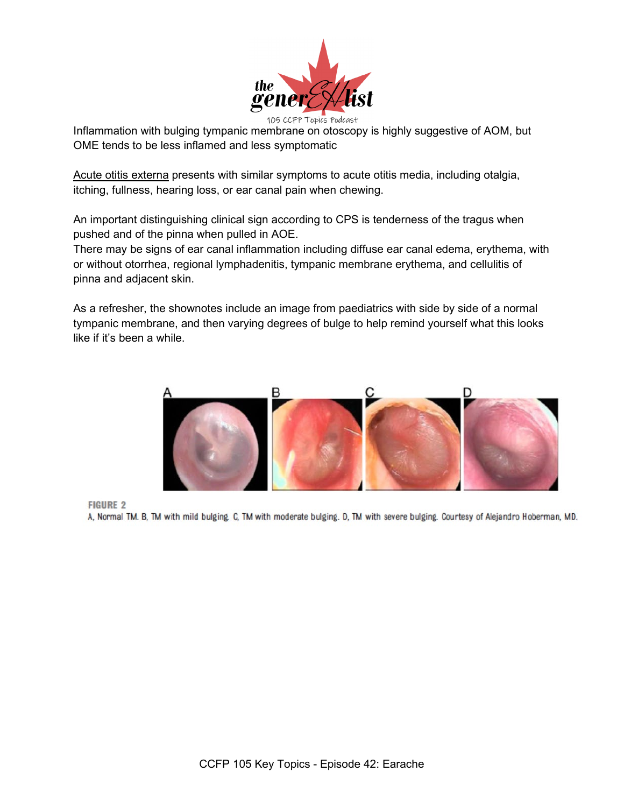

105 CCFP Toples Podcast<br>Inflammation with bulging tympanic membrane on otoscopy is highly suggestive of AOM, but OME tends to be less inflamed and less symptomatic

Acute otitis externa presents with similar symptoms to acute otitis media, including otalgia, itching, fullness, hearing loss, or ear canal pain when chewing.

An important distinguishing clinical sign according to CPS is tenderness of the tragus when pushed and of the pinna when pulled in AOE.

There may be signs of ear canal inflammation including diffuse ear canal edema, erythema, with or without otorrhea, regional lymphadenitis, tympanic membrane erythema, and cellulitis of pinna and adjacent skin.

As a refresher, the shownotes include an image from paediatrics with side by side of a normal tympanic membrane, and then varying degrees of bulge to help remind yourself what this looks like if it's been a while.



**FIGURE 2** 

A, Normal TM. B, TM with mild bulging. C, TM with moderate bulging. D, TM with severe bulging. Courtesy of Alejandro Hoberman, MD.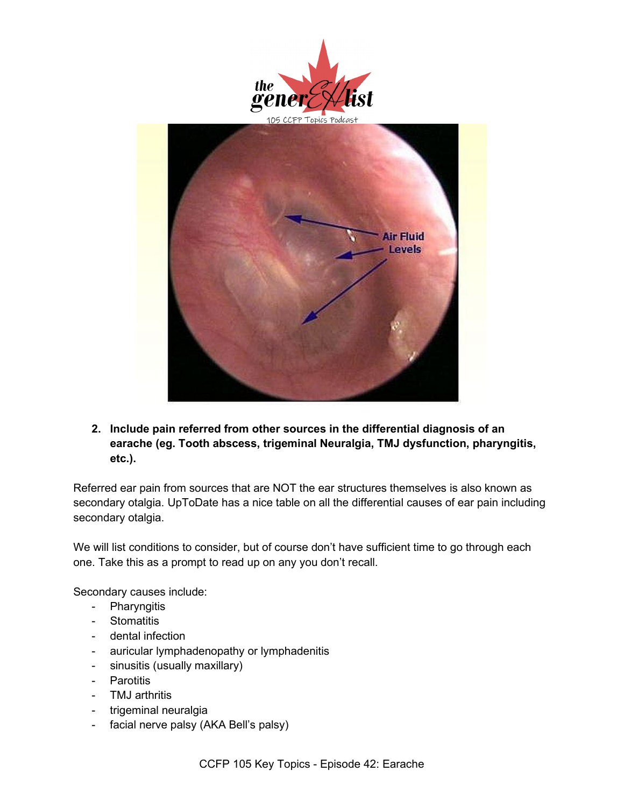



**2. Include pain referred from other sources in the differential diagnosis of an earache (eg. Tooth abscess, trigeminal Neuralgia, TMJ dysfunction, pharyngitis, etc.).**

Referred ear pain from sources that are NOT the ear structures themselves is also known as secondary otalgia. UpToDate has a nice table on all the differential causes of ear pain including secondary otalgia.

We will list conditions to consider, but of course don't have sufficient time to go through each one. Take this as a prompt to read up on any you don't recall.

Secondary causes include:

- Pharyngitis
- Stomatitis
- dental infection
- auricular lymphadenopathy or lymphadenitis
- sinusitis (usually maxillary)
- Parotitis
- TMJ arthritis
- trigeminal neuralgia
- facial nerve palsy (AKA Bell's palsy)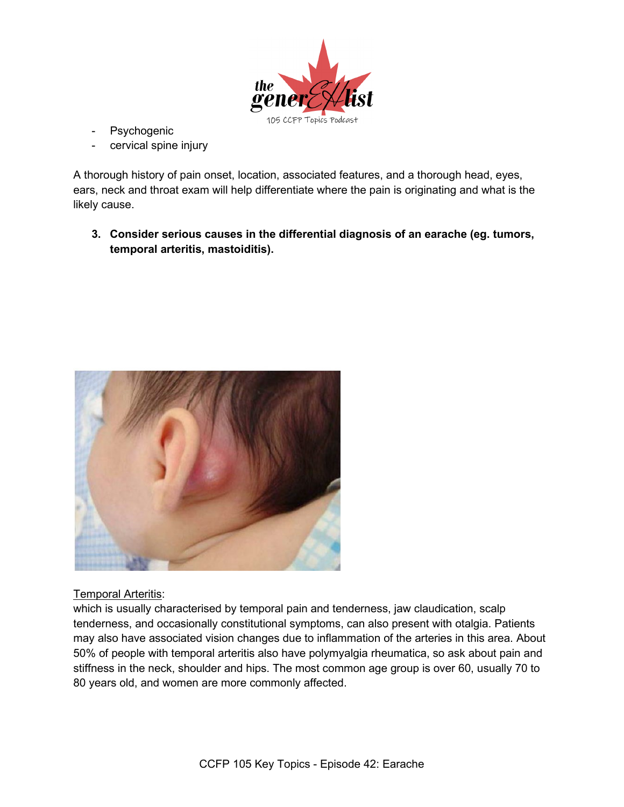

- Psychogenic
- cervical spine injury

A thorough history of pain onset, location, associated features, and a thorough head, eyes, ears, neck and throat exam will help differentiate where the pain is originating and what is the likely cause.

**3. Consider serious causes in the differential diagnosis of an earache (eg. tumors, temporal arteritis, mastoiditis).**



#### Temporal Arteritis:

which is usually characterised by temporal pain and tenderness, jaw claudication, scalp tenderness, and occasionally constitutional symptoms, can also present with otalgia. Patients may also have associated vision changes due to inflammation of the arteries in this area. About 50% of people with temporal arteritis also have polymyalgia rheumatica, so ask about pain and stiffness in the neck, shoulder and hips. The most common age group is over 60, usually 70 to 80 years old, and women are more commonly affected.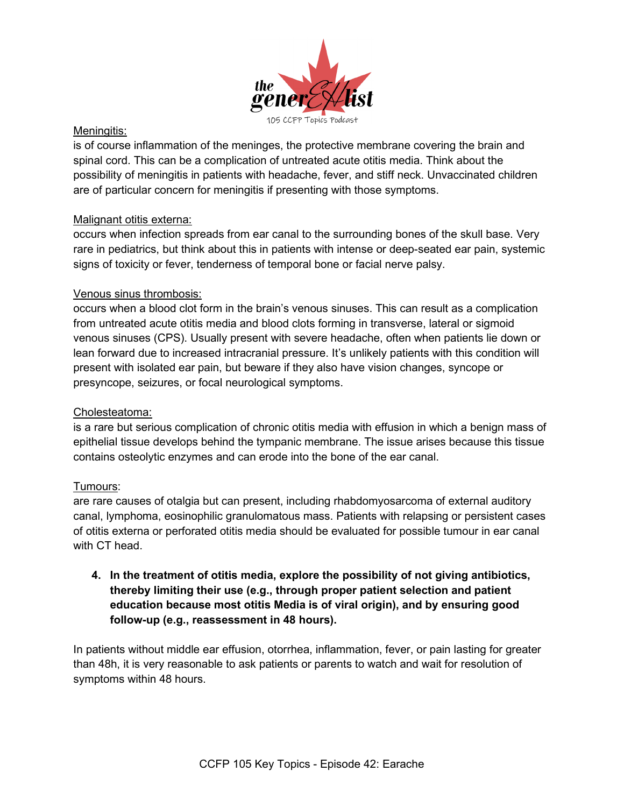

#### Meningitis:

is of course inflammation of the meninges, the protective membrane covering the brain and spinal cord. This can be a complication of untreated acute otitis media. Think about the possibility of meningitis in patients with headache, fever, and stiff neck. Unvaccinated children are of particular concern for meningitis if presenting with those symptoms.

## Malignant otitis externa:

occurs when infection spreads from ear canal to the surrounding bones of the skull base. Very rare in pediatrics, but think about this in patients with intense or deep-seated ear pain, systemic signs of toxicity or fever, tenderness of temporal bone or facial nerve palsy.

## Venous sinus thrombosis:

occurs when a blood clot form in the brain's venous sinuses. This can result as a complication from untreated acute otitis media and blood clots forming in transverse, lateral or sigmoid venous sinuses (CPS). Usually present with severe headache, often when patients lie down or lean forward due to increased intracranial pressure. It's unlikely patients with this condition will present with isolated ear pain, but beware if they also have vision changes, syncope or presyncope, seizures, or focal neurological symptoms.

#### Cholesteatoma:

is a rare but serious complication of chronic otitis media with effusion in which a benign mass of epithelial tissue develops behind the tympanic membrane. The issue arises because this tissue contains osteolytic enzymes and can erode into the bone of the ear canal.

# Tumours:

are rare causes of otalgia but can present, including rhabdomyosarcoma of external auditory canal, lymphoma, eosinophilic granulomatous mass. Patients with relapsing or persistent cases of otitis externa or perforated otitis media should be evaluated for possible tumour in ear canal with CT head.

**4. In the treatment of otitis media, explore the possibility of not giving antibiotics, thereby limiting their use (e.g., through proper patient selection and patient education because most otitis Media is of viral origin), and by ensuring good follow-up (e.g., reassessment in 48 hours).**

In patients without middle ear effusion, otorrhea, inflammation, fever, or pain lasting for greater than 48h, it is very reasonable to ask patients or parents to watch and wait for resolution of symptoms within 48 hours.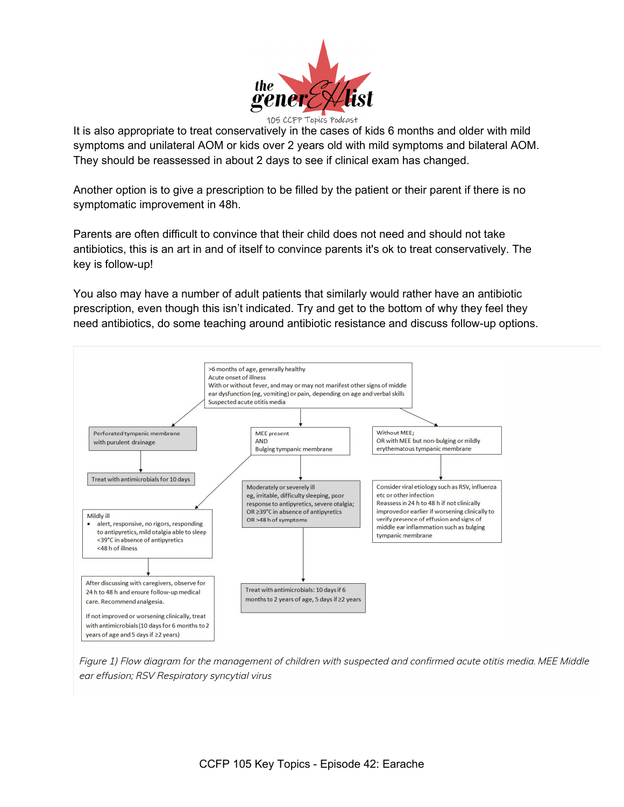

It is also appropriate to treat conservatively in the cases of kids 6 months and older with mild symptoms and unilateral AOM or kids over 2 years old with mild symptoms and bilateral AOM. They should be reassessed in about 2 days to see if clinical exam has changed.

Another option is to give a prescription to be filled by the patient or their parent if there is no symptomatic improvement in 48h.

Parents are often difficult to convince that their child does not need and should not take antibiotics, this is an art in and of itself to convince parents it's ok to treat conservatively. The key is follow-up!

You also may have a number of adult patients that similarly would rather have an antibiotic prescription, even though this isn't indicated. Try and get to the bottom of why they feel they need antibiotics, do some teaching around antibiotic resistance and discuss follow-up options.



Figure 1) Flow diagram for the management of children with suspected and confirmed acute otitis media. MEE Middle ear effusion; RSV Respiratory syncytial virus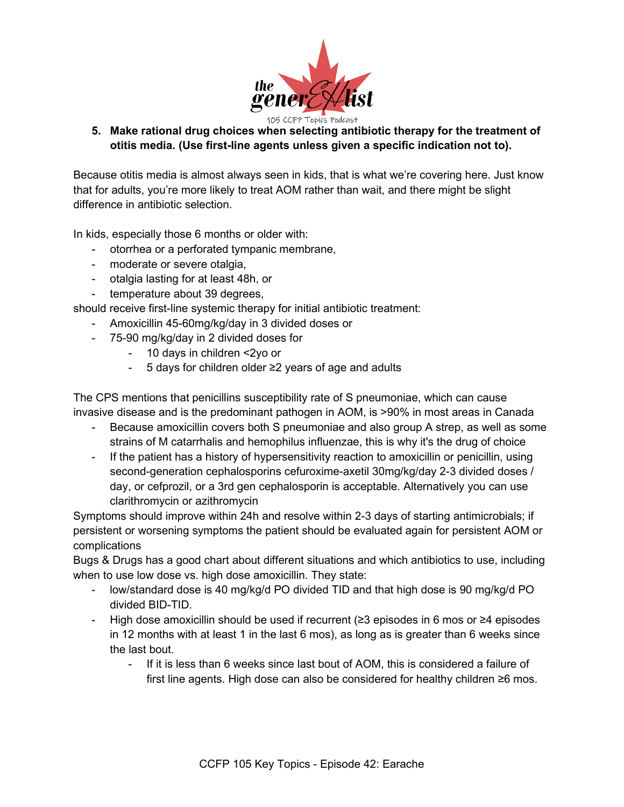

**5. Make rational drug choices when selecting antibiotic therapy for the treatment of otitis media. (Use first-line agents unless given a specific indication not to).**

Because otitis media is almost always seen in kids, that is what we're covering here. Just know that for adults, you're more likely to treat AOM rather than wait, and there might be slight difference in antibiotic selection.

In kids, especially those 6 months or older with:

- otorrhea or a perforated tympanic membrane,
- moderate or severe otalgia,
- otalgia lasting for at least 48h, or
- temperature about 39 degrees,

should receive first-line systemic therapy for initial antibiotic treatment:

- Amoxicillin 45-60mg/kg/day in 3 divided doses or
- 75-90 mg/kg/day in 2 divided doses for
	- 10 days in children <2yo or
	- 5 days for children older ≥2 years of age and adults

The CPS mentions that penicillins susceptibility rate of S pneumoniae, which can cause invasive disease and is the predominant pathogen in AOM, is >90% in most areas in Canada

- Because amoxicillin covers both S pneumoniae and also group A strep, as well as some strains of M catarrhalis and hemophilus influenzae, this is why it's the drug of choice
- If the patient has a history of hypersensitivity reaction to amoxicillin or penicillin, using second-generation cephalosporins cefuroxime-axetil 30mg/kg/day 2-3 divided doses / day, or cefprozil, or a 3rd gen cephalosporin is acceptable. Alternatively you can use clarithromycin or azithromycin

Symptoms should improve within 24h and resolve within 2-3 days of starting antimicrobials; if persistent or worsening symptoms the patient should be evaluated again for persistent AOM or complications

Bugs & Drugs has a good chart about different situations and which antibiotics to use, including when to use low dose vs. high dose amoxicillin. They state:

- low/standard dose is 40 mg/kg/d PO divided TID and that high dose is 90 mg/kg/d PO divided BID-TID.
- High dose amoxicillin should be used if recurrent (≥3 episodes in 6 mos or ≥4 episodes in 12 months with at least 1 in the last 6 mos), as long as is greater than 6 weeks since the last bout.
	- If it is less than 6 weeks since last bout of AOM, this is considered a failure of first line agents. High dose can also be considered for healthy children ≥6 mos.